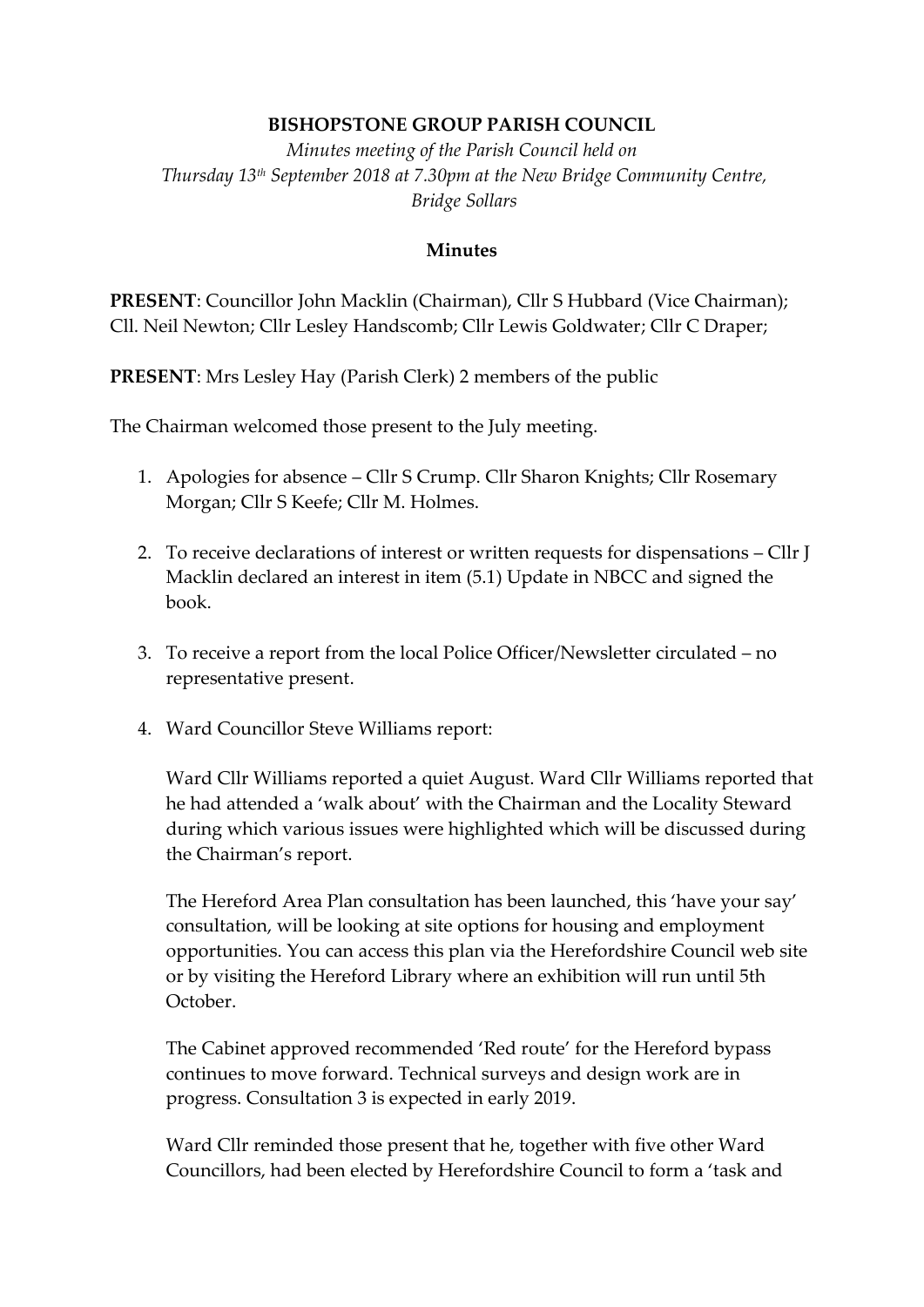## **BISHOPSTONE GROUP PARISH COUNCIL**

*Minutes meeting of the Parish Council held on Thursday 13th September 2018 at 7.30pm at the New Bridge Community Centre, Bridge Sollars*

## **Minutes**

**PRESENT**: Councillor John Macklin (Chairman), Cllr S Hubbard (Vice Chairman); Cll. Neil Newton; Cllr Lesley Handscomb; Cllr Lewis Goldwater; Cllr C Draper;

**PRESENT**: Mrs Lesley Hay (Parish Clerk) 2 members of the public

The Chairman welcomed those present to the July meeting.

- 1. Apologies for absence Cllr S Crump. Cllr Sharon Knights; Cllr Rosemary Morgan; Cllr S Keefe; Cllr M. Holmes.
- 2. To receive declarations of interest or written requests for dispensations Cllr J Macklin declared an interest in item (5.1) Update in NBCC and signed the book.
- 3. To receive a report from the local Police Officer/Newsletter circulated no representative present.
- 4. Ward Councillor Steve Williams report:

Ward Cllr Williams reported a quiet August. Ward Cllr Williams reported that he had attended a 'walk about' with the Chairman and the Locality Steward during which various issues were highlighted which will be discussed during the Chairman's report.

The Hereford Area Plan consultation has been launched, this 'have your say' consultation, will be looking at site options for housing and employment opportunities. You can access this plan via the Herefordshire Council web site or by visiting the Hereford Library where an exhibition will run until 5th October.

The Cabinet approved recommended 'Red route' for the Hereford bypass continues to move forward. Technical surveys and design work are in progress. Consultation 3 is expected in early 2019.

Ward Cllr reminded those present that he, together with five other Ward Councillors, had been elected by Herefordshire Council to form a 'task and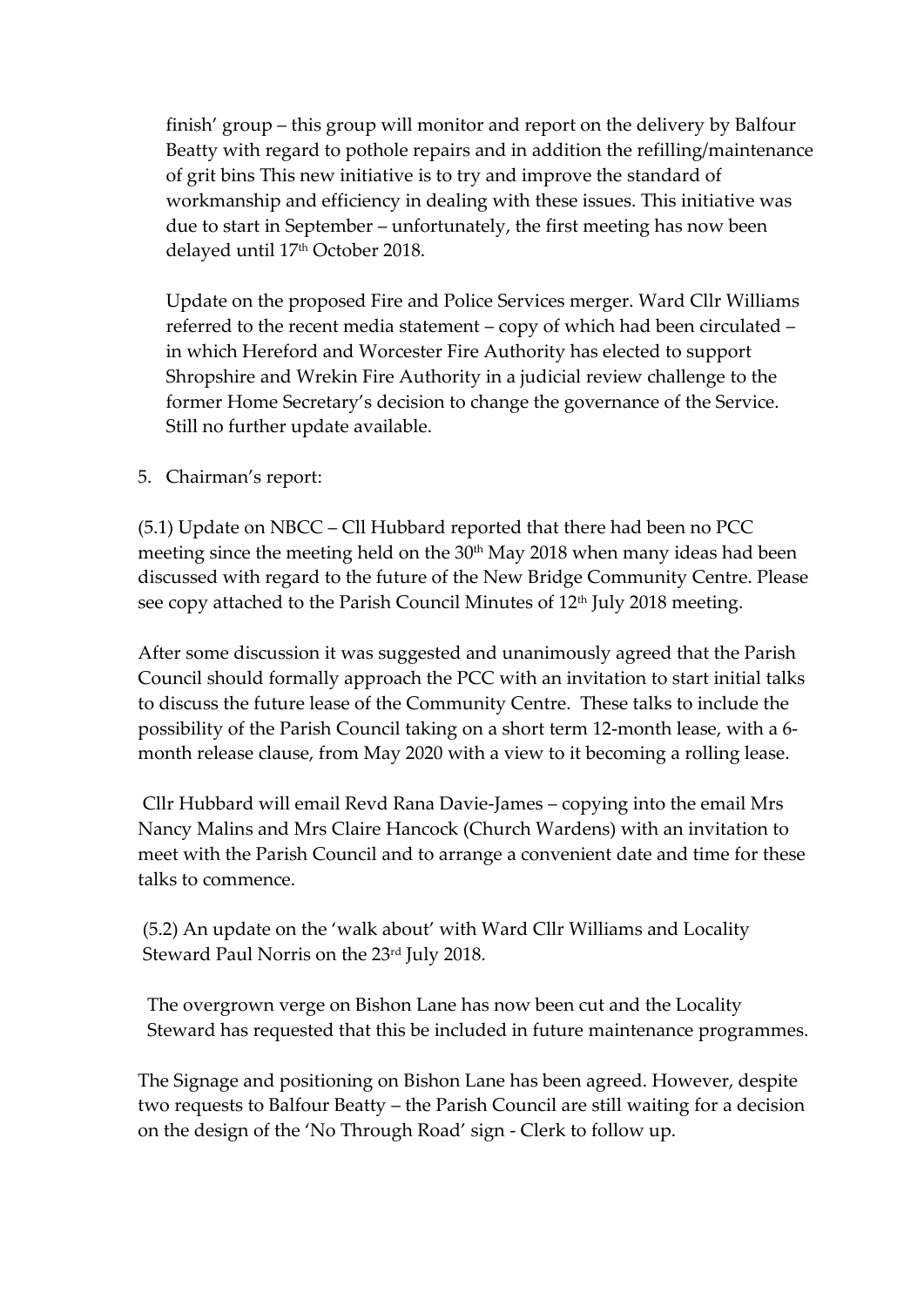finish' group – this group will monitor and report on the delivery by Balfour Beatty with regard to pothole repairs and in addition the refilling/maintenance of grit bins This new initiative is to try and improve the standard of workmanship and efficiency in dealing with these issues. This initiative was due to start in September – unfortunately, the first meeting has now been delayed until 17<sup>th</sup> October 2018.

Update on the proposed Fire and Police Services merger. Ward Cllr Williams referred to the recent media statement – copy of which had been circulated – in which Hereford and Worcester Fire Authority has elected to support Shropshire and Wrekin Fire Authority in a judicial review challenge to the former Home Secretary's decision to change the governance of the Service. Still no further update available.

5. Chairman's report:

(5.1) Update on NBCC – Cll Hubbard reported that there had been no PCC meeting since the meeting held on the 30<sup>th</sup> May 2018 when many ideas had been discussed with regard to the future of the New Bridge Community Centre. Please see copy attached to the Parish Council Minutes of 12<sup>th</sup> July 2018 meeting.

After some discussion it was suggested and unanimously agreed that the Parish Council should formally approach the PCC with an invitation to start initial talks to discuss the future lease of the Community Centre. These talks to include the possibility of the Parish Council taking on a short term 12-month lease, with a 6 month release clause, from May 2020 with a view to it becoming a rolling lease.

Cllr Hubbard will email Revd Rana Davie-James – copying into the email Mrs Nancy Malins and Mrs Claire Hancock (Church Wardens) with an invitation to meet with the Parish Council and to arrange a convenient date and time for these talks to commence.

(5.2) An update on the 'walk about' with Ward Cllr Williams and Locality Steward Paul Norris on the 23<sup>rd</sup> July 2018.

The overgrown verge on Bishon Lane has now been cut and the Locality Steward has requested that this be included in future maintenance programmes.

The Signage and positioning on Bishon Lane has been agreed. However, despite two requests to Balfour Beatty – the Parish Council are still waiting for a decision on the design of the 'No Through Road' sign - Clerk to follow up.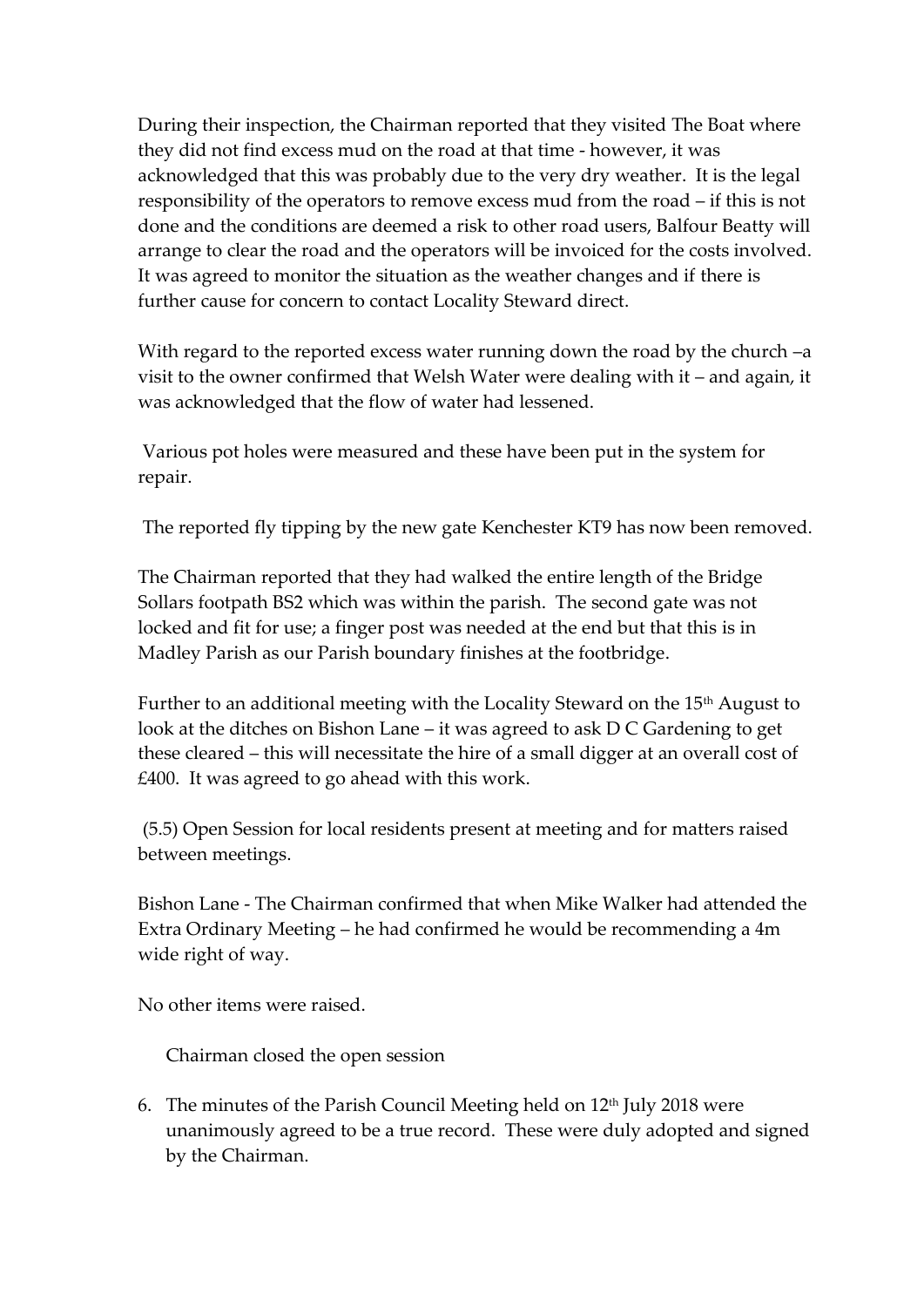During their inspection, the Chairman reported that they visited The Boat where they did not find excess mud on the road at that time - however, it was acknowledged that this was probably due to the very dry weather. It is the legal responsibility of the operators to remove excess mud from the road – if this is not done and the conditions are deemed a risk to other road users, Balfour Beatty will arrange to clear the road and the operators will be invoiced for the costs involved. It was agreed to monitor the situation as the weather changes and if there is further cause for concern to contact Locality Steward direct.

With regard to the reported excess water running down the road by the church –a visit to the owner confirmed that Welsh Water were dealing with it – and again, it was acknowledged that the flow of water had lessened.

Various pot holes were measured and these have been put in the system for repair.

The reported fly tipping by the new gate Kenchester KT9 has now been removed.

The Chairman reported that they had walked the entire length of the Bridge Sollars footpath BS2 which was within the parish. The second gate was not locked and fit for use; a finger post was needed at the end but that this is in Madley Parish as our Parish boundary finishes at the footbridge.

Further to an additional meeting with the Locality Steward on the 15<sup>th</sup> August to look at the ditches on Bishon Lane – it was agreed to ask D C Gardening to get these cleared – this will necessitate the hire of a small digger at an overall cost of £400. It was agreed to go ahead with this work.

(5.5) Open Session for local residents present at meeting and for matters raised between meetings.

Bishon Lane - The Chairman confirmed that when Mike Walker had attended the Extra Ordinary Meeting – he had confirmed he would be recommending a 4m wide right of way.

No other items were raised.

Chairman closed the open session

6. The minutes of the Parish Council Meeting held on  $12<sup>th</sup>$  July 2018 were unanimously agreed to be a true record. These were duly adopted and signed by the Chairman.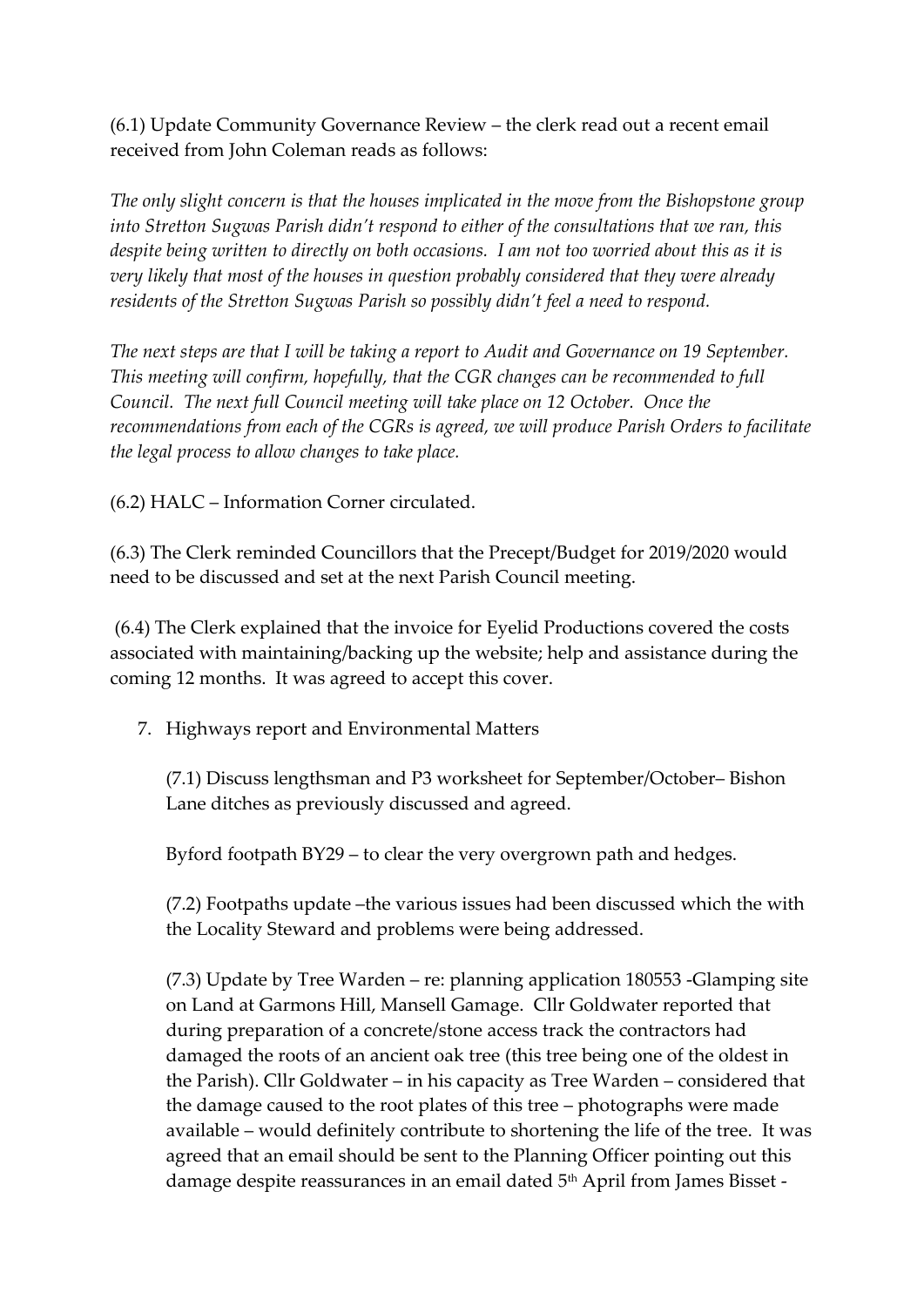(6.1) Update Community Governance Review – the clerk read out a recent email received from John Coleman reads as follows:

*The only slight concern is that the houses implicated in the move from the Bishopstone group into Stretton Sugwas Parish didn't respond to either of the consultations that we ran, this despite being written to directly on both occasions. I am not too worried about this as it is very likely that most of the houses in question probably considered that they were already residents of the Stretton Sugwas Parish so possibly didn't feel a need to respond.*

*The next steps are that I will be taking a report to Audit and Governance on 19 September. This meeting will confirm, hopefully, that the CGR changes can be recommended to full Council. The next full Council meeting will take place on 12 October. Once the recommendations from each of the CGRs is agreed, we will produce Parish Orders to facilitate the legal process to allow changes to take place.*

(6.2) HALC – Information Corner circulated.

(6.3) The Clerk reminded Councillors that the Precept/Budget for 2019/2020 would need to be discussed and set at the next Parish Council meeting.

(6.4) The Clerk explained that the invoice for Eyelid Productions covered the costs associated with maintaining/backing up the website; help and assistance during the coming 12 months. It was agreed to accept this cover.

7. Highways report and Environmental Matters

(7.1) Discuss lengthsman and P3 worksheet for September/October– Bishon Lane ditches as previously discussed and agreed.

Byford footpath BY29 – to clear the very overgrown path and hedges.

(7.2) Footpaths update –the various issues had been discussed which the with the Locality Steward and problems were being addressed.

(7.3) Update by Tree Warden – re: planning application 180553 -Glamping site on Land at Garmons Hill, Mansell Gamage. Cllr Goldwater reported that during preparation of a concrete/stone access track the contractors had damaged the roots of an ancient oak tree (this tree being one of the oldest in the Parish). Cllr Goldwater – in his capacity as Tree Warden – considered that the damage caused to the root plates of this tree – photographs were made available – would definitely contribute to shortening the life of the tree. It was agreed that an email should be sent to the Planning Officer pointing out this damage despite reassurances in an email dated 5<sup>th</sup> April from James Bisset -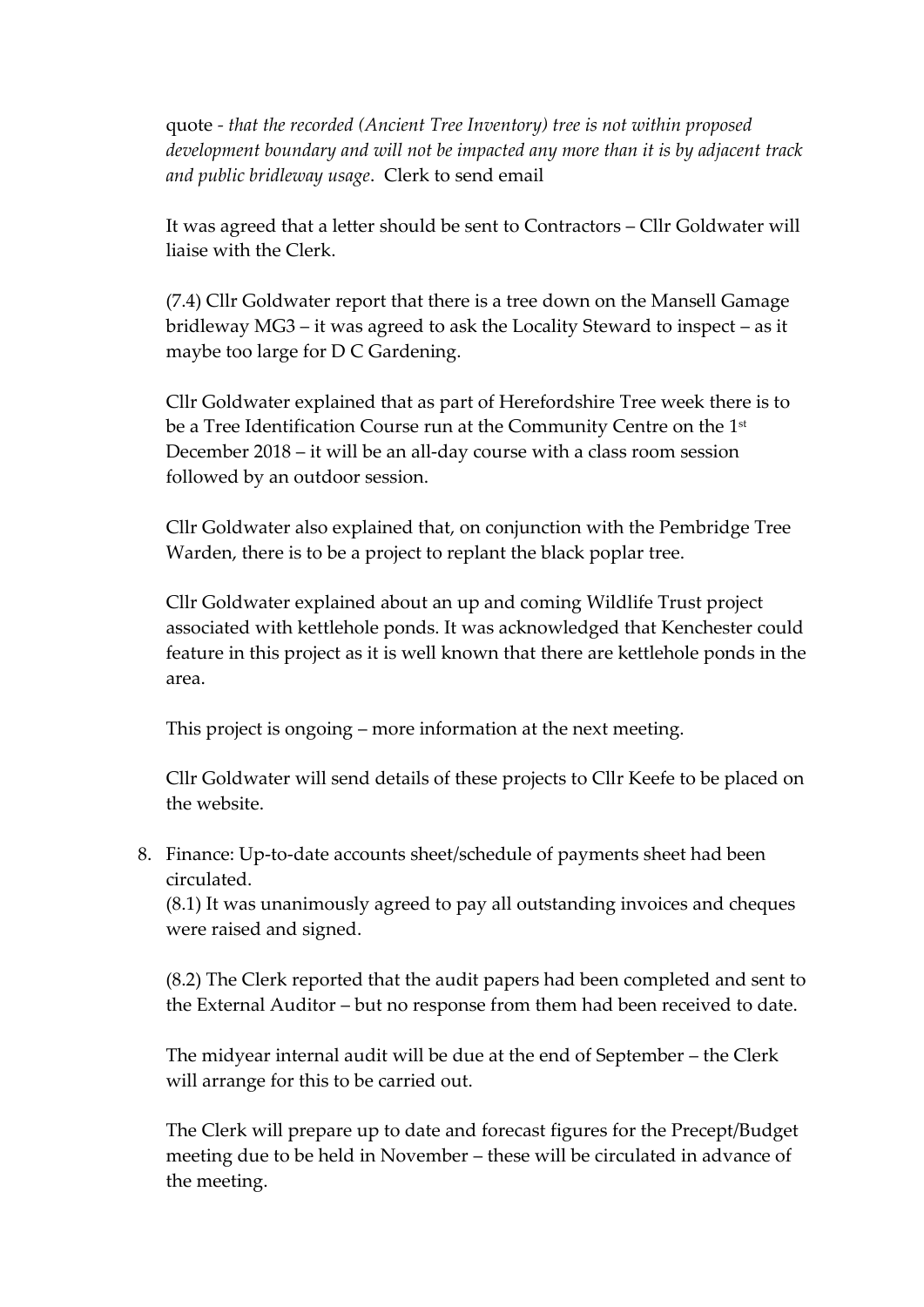quote *- that the recorded (Ancient Tree Inventory) tree is not within proposed development boundary and will not be impacted any more than it is by adjacent track and public bridleway usage*. Clerk to send email

It was agreed that a letter should be sent to Contractors – Cllr Goldwater will liaise with the Clerk.

(7.4) Cllr Goldwater report that there is a tree down on the Mansell Gamage bridleway MG3 – it was agreed to ask the Locality Steward to inspect – as it maybe too large for D C Gardening.

Cllr Goldwater explained that as part of Herefordshire Tree week there is to be a Tree Identification Course run at the Community Centre on the 1st December 2018 – it will be an all-day course with a class room session followed by an outdoor session.

Cllr Goldwater also explained that, on conjunction with the Pembridge Tree Warden, there is to be a project to replant the black poplar tree.

Cllr Goldwater explained about an up and coming Wildlife Trust project associated with kettlehole ponds. It was acknowledged that Kenchester could feature in this project as it is well known that there are kettlehole ponds in the area.

This project is ongoing – more information at the next meeting.

Cllr Goldwater will send details of these projects to Cllr Keefe to be placed on the website.

8. Finance: Up-to-date accounts sheet/schedule of payments sheet had been circulated.

(8.1) It was unanimously agreed to pay all outstanding invoices and cheques were raised and signed.

(8.2) The Clerk reported that the audit papers had been completed and sent to the External Auditor – but no response from them had been received to date.

The midyear internal audit will be due at the end of September – the Clerk will arrange for this to be carried out.

The Clerk will prepare up to date and forecast figures for the Precept/Budget meeting due to be held in November – these will be circulated in advance of the meeting.